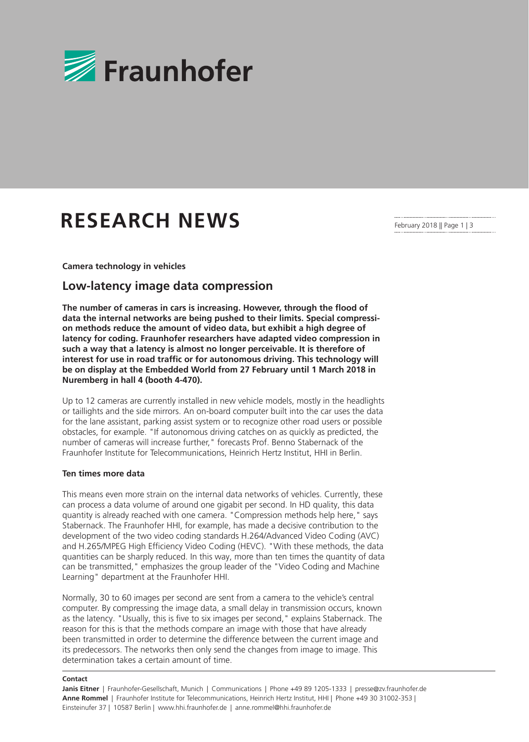

# **RESEARCH NEWS**

February 2018 || Page 1 | 3

**Camera technology in vehicles**

## **Low-latency image data compression**

**The number of cameras in cars is increasing. However, through the flood of data the internal networks are being pushed to their limits. Special compression methods reduce the amount of video data, but exhibit a high degree of latency for coding. Fraunhofer researchers have adapted video compression in such a way that a latency is almost no longer perceivable. It is therefore of interest for use in road traffic or for autonomous driving. This technology will be on display at the Embedded World from 27 February until 1 March 2018 in Nuremberg in hall 4 (booth 4-470).**

Up to 12 cameras are currently installed in new vehicle models, mostly in the headlights or taillights and the side mirrors. An on-board computer built into the car uses the data for the lane assistant, parking assist system or to recognize other road users or possible obstacles, for example. "If autonomous driving catches on as quickly as predicted, the number of cameras will increase further," forecasts Prof. Benno Stabernack of the Fraunhofer Institute for Telecommunications, Heinrich Hertz Institut, HHI in Berlin.

#### **Ten times more data**

This means even more strain on the internal data networks of vehicles. Currently, these can process a data volume of around one gigabit per second. In HD quality, this data quantity is already reached with one camera. "Compression methods help here," says Stabernack. The Fraunhofer HHI, for example, has made a decisive contribution to the development of the two video coding standards H.264/Advanced Video Coding (AVC) and H.265/MPEG High Efficiency Video Coding (HEVC). "With these methods, the data quantities can be sharply reduced. In this way, more than ten times the quantity of data can be transmitted," emphasizes the group leader of the "Video Coding and Machine Learning" department at the Fraunhofer HHI.

Normally, 30 to 60 images per second are sent from a camera to the vehicle's central computer. By compressing the image data, a small delay in transmission occurs, known as the latency. "Usually, this is five to six images per second," explains Stabernack. The reason for this is that the methods compare an image with those that have already been transmitted in order to determine the difference between the current image and its predecessors. The networks then only send the changes from image to image. This determination takes a certain amount of time.

#### **Contact**

Janis Eitner | Fraunhofer-Gesellschaft, Munich | Communications | Phone +49 89 1205-1333 | presse@zv.fraunhofer.de **Anne Rommel** | Fraunhofer Institute for Telecommunications, Heinrich Hertz Institut, HHI | Phone +49 30 31002-353 | Einsteinufer 37 | 10587 Berlin | www.hhi.fraunhofer.de | anne.rommel@hhi.fraunhofer.de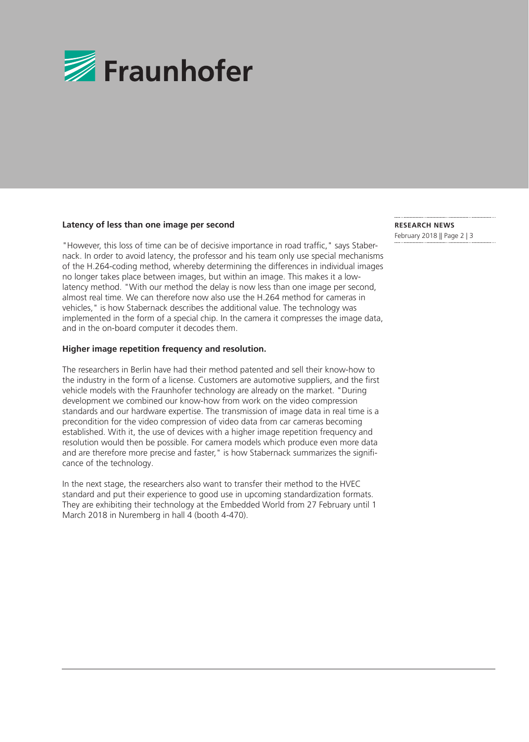

#### **Latency of less than one image per second**

"However, this loss of time can be of decisive importance in road traffic," says Stabernack. In order to avoid latency, the professor and his team only use special mechanisms of the H.264-coding method, whereby determining the differences in individual images no longer takes place between images, but within an image. This makes it a lowlatency method. "With our method the delay is now less than one image per second, almost real time. We can therefore now also use the H.264 method for cameras in vehicles," is how Stabernack describes the additional value. The technology was implemented in the form of a special chip. In the camera it compresses the image data, and in the on-board computer it decodes them.

#### **Higher image repetition frequency and resolution.**

The researchers in Berlin have had their method patented and sell their know-how to the industry in the form of a license. Customers are automotive suppliers, and the first vehicle models with the Fraunhofer technology are already on the market. "During development we combined our know-how from work on the video compression standards and our hardware expertise. The transmission of image data in real time is a precondition for the video compression of video data from car cameras becoming established. With it, the use of devices with a higher image repetition frequency and resolution would then be possible. For camera models which produce even more data and are therefore more precise and faster," is how Stabernack summarizes the significance of the technology.

In the next stage, the researchers also want to transfer their method to the HVEC standard and put their experience to good use in upcoming standardization formats. They are exhibiting their technology at the Embedded World from 27 February until 1 March 2018 in Nuremberg in hall 4 (booth 4-470).

**RESEARCH NEWS**  February 2018 || Page 2 | 3